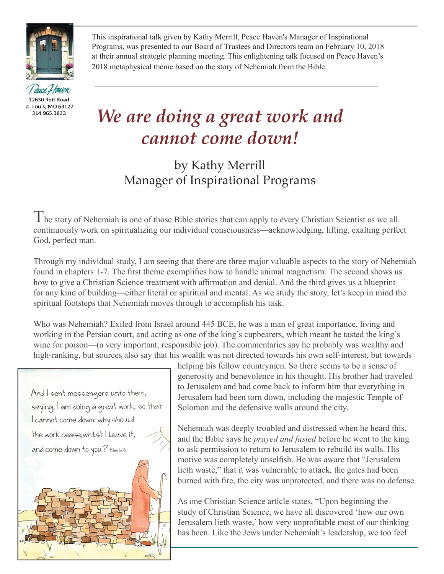

Peace Haven 12630 Rott Road it. Louis, MO 63127 314.965.3833

This inspirational talk given by Kathy Merrill, Peace Haven's Manager of Inspirational Programs, was presented to our Board of Trustees and Directors team on February 10, 2018 at their annual strategic planning meeting. This enlightening talk focused on Peace Haven's 2018 metaphysical theme based on the story of Nehemiah from the Bible.

## *We are doing a great work and cannot come down!*

## by Kathy Merrill Manager of Inspirational Programs

 $T$ he story of Nehemiah is one of those Bible stories that can apply to every Christian Scientist as we all continuously work on spiritualizing our individual consciousness—acknowledging, lifting, exalting perfect God, perfect man.

Through my individual study, I am seeing that there are three major valuable aspects to the story of Nehemiah found in chapters 1-7. The first theme exemplifies how to handle animal magnetism. The second shows us how to give a Christian Science treatment with affirmation and denial. And the third gives us a blueprint for any kind of building—either literal or spiritual and mental. As we study the story, let's keep in mind the spiritual footsteps that Nehemiah moves through to accomplish his task.

Who was Nehemiah? Exiled from Israel around 445 BCE, he was a man of great importance, living and working in the Persian court, and acting as one of the king's cupbearers, which meant he tasted the king's wine for poison—(a very important, responsible job). The commentaries say he probably was wealthy and high-ranking, but sources also say that his wealth was not directed towards his own self-interest, but towards

And I sent messengers unto them, saying, I am doing a great work, so that I cannot come down: why should the work cease, whilet I leave it, and come down to you? Neh 6:3



helping his fellow countrymen. So there seems to be a sense of generosity and benevolence in his thought. His brother had traveled to Jerusalem and had come back to inform him that everything in Jerusalem had been torn down, including the majestic Temple of Solomon and the defensive walls around the city.

Nehemiah was deeply troubled and distressed when he heard this, and the Bible says he *prayed and fasted* before he went to the king to ask permission to return to Jerusalem to rebuild its walls. His motive was completely unselfish. He was aware that "Jerusalem" lieth waste," that it was vulnerable to attack, the gates had been burned with fire, the city was unprotected, and there was no defense.

As one Christian Science article states, "Upon beginning the study of Christian Science, we have all discovered 'how our own Jerusalem lieth waste,' how very unprofitable most of our thinking has been. Like the Jews under Nehemiah's leadership, we too feel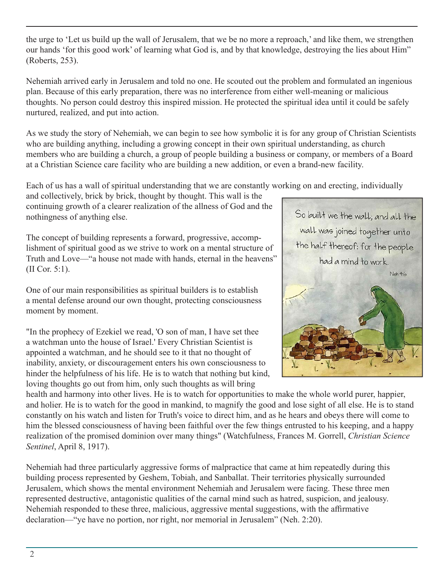the urge to 'Let us build up the wall of Jerusalem, that we be no more a reproach,' and like them, we strengthen our hands 'for this good work' of learning what God is, and by that knowledge, destroying the lies about Him" (Roberts, 253).

Nehemiah arrived early in Jerusalem and told no one. He scouted out the problem and formulated an ingenious plan. Because of this early preparation, there was no interference from either well-meaning or malicious thoughts. No person could destroy this inspired mission. He protected the spiritual idea until it could be safely nurtured, realized, and put into action.

As we study the story of Nehemiah, we can begin to see how symbolic it is for any group of Christian Scientists who are building anything, including a growing concept in their own spiritual understanding, as church members who are building a church, a group of people building a business or company, or members of a Board at a Christian Science care facility who are building a new addition, or even a brand-new facility.

Each of us has a wall of spiritual understanding that we are constantly working on and erecting, individually

and collectively, brick by brick, thought by thought. This wall is the continuing growth of a clearer realization of the allness of God and the nothingness of anything else.

The concept of building represents a forward, progressive, accomplishment of spiritual good as we strive to work on a mental structure of Truth and Love—"a house not made with hands, eternal in the heavens" (II Cor. 5:1).

One of our main responsibilities as spiritual builders is to establish a mental defense around our own thought, protecting consciousness moment by moment.

"In the prophecy of Ezekiel we read, 'O son of man, I have set thee a watchman unto the house of Israel.' Every Christian Scientist is appointed a watchman, and he should see to it that no thought of inability, anxiety, or discouragement enters his own consciousness to hinder the helpfulness of his life. He is to watch that nothing but kind, loving thoughts go out from him, only such thoughts as will bring



health and harmony into other lives. He is to watch for opportunities to make the whole world purer, happier, and holier. He is to watch for the good in mankind, to magnify the good and lose sight of all else. He is to stand constantly on his watch and listen for Truth's voice to direct him, and as he hears and obeys there will come to him the blessed consciousness of having been faithful over the few things entrusted to his keeping, and a happy realization of the promised dominion over many things" (Watchfulness, Frances M. Gorrell, *Christian Science Sentinel*, April 8, 1917).

Nehemiah had three particularly aggressive forms of malpractice that came at him repeatedly during this building process represented by Geshem, Tobiah, and Sanballat. Their territories physically surrounded Jerusalem, which shows the mental environment Nehemiah and Jerusalem were facing. These three men represented destructive, antagonistic qualities of the carnal mind such as hatred, suspicion, and jealousy. Nehemiah responded to these three, malicious, aggressive mental suggestions, with the affirmative declaration—"ye have no portion, nor right, nor memorial in Jerusalem" (Neh. 2:20).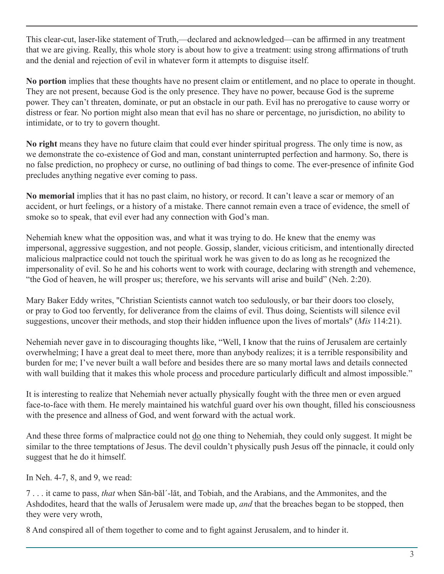This clear-cut, laser-like statement of Truth,—declared and acknowledged—can be affirmed in any treatment that we are giving. Really, this whole story is about how to give a treatment: using strong affirmations of truth and the denial and rejection of evil in whatever form it attempts to disguise itself.

**No portion** implies that these thoughts have no present claim or entitlement, and no place to operate in thought. They are not present, because God is the only presence. They have no power, because God is the supreme power. They can't threaten, dominate, or put an obstacle in our path. Evil has no prerogative to cause worry or distress or fear. No portion might also mean that evil has no share or percentage, no jurisdiction, no ability to intimidate, or to try to govern thought.

**No right** means they have no future claim that could ever hinder spiritual progress. The only time is now, as we demonstrate the co-existence of God and man, constant uninterrupted perfection and harmony. So, there is no false prediction, no prophecy or curse, no outlining of bad things to come. The ever-presence of infinite God precludes anything negative ever coming to pass.

**No memorial** implies that it has no past claim, no history, or record. It can't leave a scar or memory of an accident, or hurt feelings, or a history of a mistake. There cannot remain even a trace of evidence, the smell of smoke so to speak, that evil ever had any connection with God's man.

Nehemiah knew what the opposition was, and what it was trying to do. He knew that the enemy was impersonal, aggressive suggestion, and not people. Gossip, slander, vicious criticism, and intentionally directed malicious malpractice could not touch the spiritual work he was given to do as long as he recognized the impersonality of evil. So he and his cohorts went to work with courage, declaring with strength and vehemence, "the God of heaven, he will prosper us; therefore, we his servants will arise and build" (Neh. 2:20).

Mary Baker Eddy writes, "Christian Scientists cannot watch too sedulously, or bar their doors too closely, or pray to God too fervently, for deliverance from the claims of evil. Thus doing, Scientists will silence evil suggestions, uncover their methods, and stop their hidden influence upon the lives of mortals" (*Mis* 114:21).

Nehemiah never gave in to discouraging thoughts like, "Well, I know that the ruins of Jerusalem are certainly overwhelming; I have a great deal to meet there, more than anybody realizes; it is a terrible responsibility and burden for me; I've never built a wall before and besides there are so many mortal laws and details connected with wall building that it makes this whole process and procedure particularly difficult and almost impossible."

It is interesting to realize that Nehemiah never actually physically fought with the three men or even argued face-to-face with them. He merely maintained his watchful guard over his own thought, filled his consciousness with the presence and allness of God, and went forward with the actual work.

And these three forms of malpractice could not <u>do</u> one thing to Nehemiah, they could only suggest. It might be similar to the three temptations of Jesus. The devil couldn't physically push Jesus off the pinnacle, it could only suggest that he do it himself.

In Neh. 4-7, 8, and 9, we read:

7 . . . it came to pass, *that* when Săn-băl´-lăt, and Tobiah, and the Arabians, and the Ammonites, and the Ashdodites, heard that the walls of Jerusalem were made up, *and* that the breaches began to be stopped, then they were very wroth,

8 And conspired all of them together to come and to fight against Jerusalem, and to hinder it.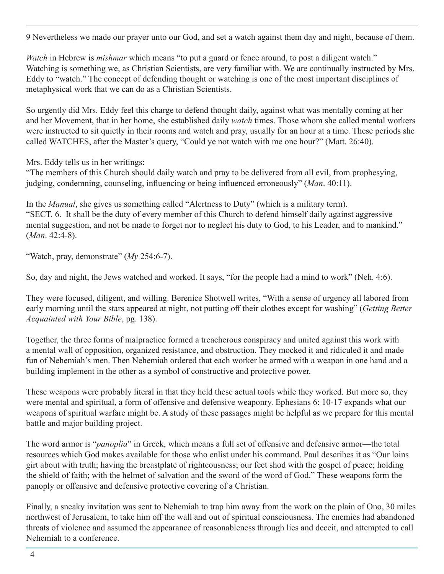9 Nevertheless we made our prayer unto our God, and set a watch against them day and night, because of them.

*Watch* in Hebrew is *mishmar* which means "to put a guard or fence around, to post a diligent watch." Watching is something we, as Christian Scientists, are very familiar with. We are continually instructed by Mrs. Eddy to "watch." The concept of defending thought or watching is one of the most important disciplines of metaphysical work that we can do as a Christian Scientists.

So urgently did Mrs. Eddy feel this charge to defend thought daily, against what was mentally coming at her and her Movement, that in her home, she established daily *watch* times. Those whom she called mental workers were instructed to sit quietly in their rooms and watch and pray, usually for an hour at a time. These periods she called WATCHES, after the Master's query, "Could ye not watch with me one hour?" (Matt. 26:40).

Mrs. Eddy tells us in her writings:

"The members of this Church should daily watch and pray to be delivered from all evil, from prophesying, judging, condemning, counseling, influencing or being influenced erroneously" (*Man.* 40:11).

In the *Manual*, she gives us something called "Alertness to Duty" (which is a military term). "SECT. 6. It shall be the duty of every member of this Church to defend himself daily against aggressive mental suggestion, and not be made to forget nor to neglect his duty to God, to his Leader, and to mankind." (*Man*. 42:4-8).

"Watch, pray, demonstrate" (*My* 254:6-7).

So, day and night, the Jews watched and worked. It says, "for the people had a mind to work" (Neh. 4:6).

They were focused, diligent, and willing. Berenice Shotwell writes, "With a sense of urgency all labored from early morning until the stars appeared at night, not putting off their clothes except for washing" (*Getting Better Acquainted with Your Bible*, pg. 138).

Together, the three forms of malpractice formed a treacherous conspiracy and united against this work with a mental wall of opposition, organized resistance, and obstruction. They mocked it and ridiculed it and made fun of Nehemiah's men. Then Nehemiah ordered that each worker be armed with a weapon in one hand and a building implement in the other as a symbol of constructive and protective power.

These weapons were probably literal in that they held these actual tools while they worked. But more so, they were mental and spiritual, a form of offensive and defensive weaponry. Ephesians 6: 10-17 expands what our weapons of spiritual warfare might be. A study of these passages might be helpful as we prepare for this mental battle and major building project.

The word armor is "*panoplia*" in Greek, which means a full set of offensive and defensive armor—the total resources which God makes available for those who enlist under his command. Paul describes it as "Our loins girt about with truth; having the breastplate of righteousness; our feet shod with the gospel of peace; holding the shield of faith; with the helmet of salvation and the sword of the word of God." These weapons form the panoply or offensive and defensive protective covering of a Christian.

Finally, a sneaky invitation was sent to Nehemiah to trap him away from the work on the plain of Ono, 30 miles northwest of Jerusalem, to take him off the wall and out of spiritual consciousness. The enemies had abandoned threats of violence and assumed the appearance of reasonableness through lies and deceit, and attempted to call Nehemiah to a conference.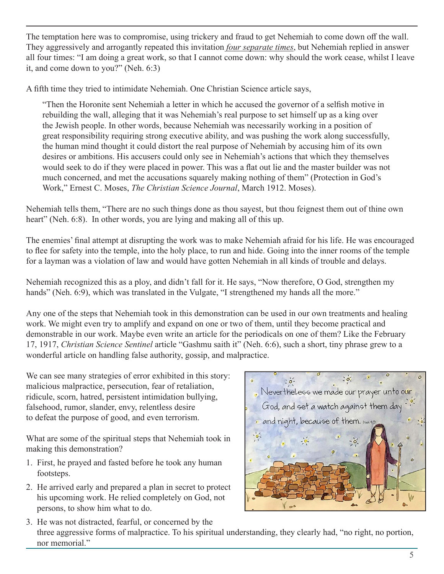The temptation here was to compromise, using trickery and fraud to get Nehemiah to come down off the wall. They aggressively and arrogantly repeated this invitation *four separate times*, but Nehemiah replied in answer all four times: "I am doing a great work, so that I cannot come down: why should the work cease, whilst I leave it, and come down to you?" (Neh. 6:3)

A fifth time they tried to intimidate Nehemiah. One Christian Science article says,

"Then the Horonite sent Nehemiah a letter in which he accused the governor of a selfish motive in rebuilding the wall, alleging that it was Nehemiah's real purpose to set himself up as a king over the Jewish people. In other words, because Nehemiah was necessarily working in a position of great responsibility requiring strong executive ability, and was pushing the work along successfully, the human mind thought it could distort the real purpose of Nehemiah by accusing him of its own desires or ambitions. His accusers could only see in Nehemiah's actions that which they themselves would seek to do if they were placed in power. This was a flat out lie and the master builder was not much concerned, and met the accusations squarely making nothing of them" (Protection in God's Work," Ernest C. Moses, *The Christian Science Journal*, March 1912. Moses).

Nehemiah tells them, "There are no such things done as thou sayest, but thou feignest them out of thine own heart" (Neh. 6:8). In other words, you are lying and making all of this up.

The enemies' final attempt at disrupting the work was to make Nehemiah afraid for his life. He was encouraged to flee for safety into the temple, into the holy place, to run and hide. Going into the inner rooms of the temple for a layman was a violation of law and would have gotten Nehemiah in all kinds of trouble and delays.

Nehemiah recognized this as a ploy, and didn't fall for it. He says, "Now therefore, O God, strengthen my hands" (Neh. 6:9), which was translated in the Vulgate, "I strengthened my hands all the more."

Any one of the steps that Nehemiah took in this demonstration can be used in our own treatments and healing work. We might even try to amplify and expand on one or two of them, until they become practical and demonstrable in our work. Maybe even write an article for the periodicals on one of them? Like the February 17, 1917, *Christian Science Sentinel* article "Gashmu saith it" (Neh. 6:6), such a short, tiny phrase grew to a wonderful article on handling false authority, gossip, and malpractice.

We can see many strategies of error exhibited in this story: malicious malpractice, persecution, fear of retaliation, ridicule, scorn, hatred, persistent intimidation bullying, falsehood, rumor, slander, envy, relentless desire to defeat the purpose of good, and even terrorism.

What are some of the spiritual steps that Nehemiah took in making this demonstration?

- 1. First, he prayed and fasted before he took any human footsteps.
- 2. He arrived early and prepared a plan in secret to protect his upcoming work. He relied completely on God, not persons, to show him what to do.



3. He was not distracted, fearful, or concerned by the three aggressive forms of malpractice. To his spiritual understanding, they clearly had, "no right, no portion, nor memorial."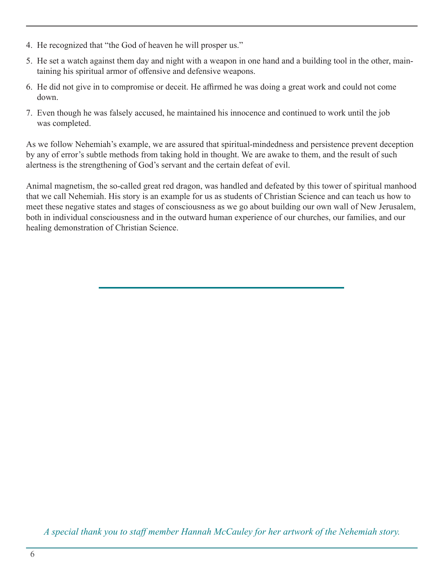- 4. He recognized that "the God of heaven he will prosper us."
- 5. He set a watch against them day and night with a weapon in one hand and a building tool in the other, main taining his spiritual armor of offensive and defensive weapons.
- 6. He did not give in to compromise or deceit. He affirmed he was doing a great work and could not come down.
- 7. Even though he was falsely accused, he maintained his innocence and continued to work until the job was completed.

As we follow Nehemiah's example, we are assured that spiritual-mindedness and persistence prevent deception by any of error's subtle methods from taking hold in thought. We are awake to them, and the result of such alertness is the strengthening of God's servant and the certain defeat of evil.

Animal magnetism, the so-called great red dragon, was handled and defeated by this tower of spiritual manhood that we call Nehemiah. His story is an example for us as students of Christian Science and can teach us how to meet these negative states and stages of consciousness as we go about building our own wall of New Jerusalem, both in individual consciousness and in the outward human experience of our churches, our families, and our healing demonstration of Christian Science.

*A special thank you to staff member Hannah McCauley for her artwork of the Nehemiah story.*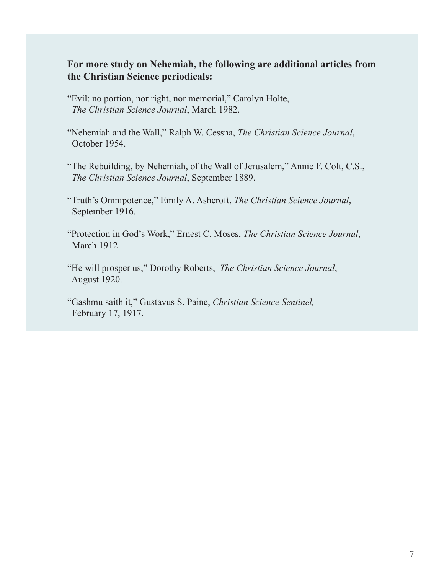## **For more study on Nehemiah, the following are additional articles from the Christian Science periodicals:**

- "Evil: no portion, nor right, nor memorial," Carolyn Holte, *The Christian Science Journal*, March 1982.
- "Nehemiah and the Wall," Ralph W. Cessna, *The Christian Science Journal*, October 1954.
- "The Rebuilding, by Nehemiah, of the Wall of Jerusalem," Annie F. Colt, C.S., *The Christian Science Journal*, September 1889.
- "Truth's Omnipotence," Emily A. Ashcroft, *The Christian Science Journal*, September 1916.
- "Protection in God's Work," Ernest C. Moses, *The Christian Science Journal*, March 1912.
- "He will prosper us," Dorothy Roberts, *The Christian Science Journal*, August 1920.
- "Gashmu saith it," Gustavus S. Paine, *Christian Science Sentinel,* February 17, 1917.